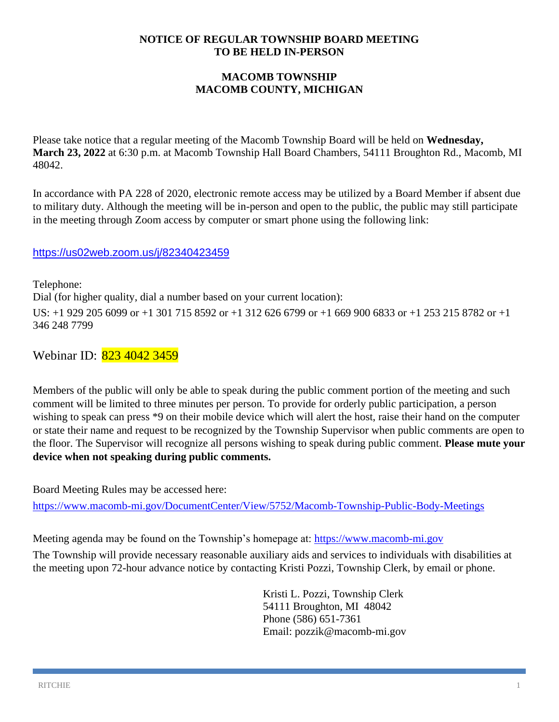## **NOTICE OF REGULAR TOWNSHIP BOARD MEETING TO BE HELD IN-PERSON**

# **MACOMB TOWNSHIP MACOMB COUNTY, MICHIGAN**

Please take notice that a regular meeting of the Macomb Township Board will be held on **Wednesday, March 23, 2022** at 6:30 p.m. at Macomb Township Hall Board Chambers, 54111 Broughton Rd., Macomb, MI 48042.

In accordance with PA 228 of 2020, electronic remote access may be utilized by a Board Member if absent due to military duty. Although the meeting will be in-person and open to the public, the public may still participate in the meeting through Zoom access by computer or smart phone using the following link:

# <https://us02web.zoom.us/j/82340423459>

Telephone: Dial (for higher quality, dial a number based on your current location): US: +1 929 205 6099 or +1 301 715 8592 or +1 312 626 6799 or +1 669 900 6833 or +1 253 215 8782 or +1 346 248 7799

Webinar ID: 823 4042 3459

Members of the public will only be able to speak during the public comment portion of the meeting and such comment will be limited to three minutes per person. To provide for orderly public participation, a person wishing to speak can press \*9 on their mobile device which will alert the host, raise their hand on the computer or state their name and request to be recognized by the Township Supervisor when public comments are open to the floor. The Supervisor will recognize all persons wishing to speak during public comment. **Please mute your device when not speaking during public comments.**

Board Meeting Rules may be accessed here:

<https://www.macomb-mi.gov/DocumentCenter/View/5752/Macomb-Township-Public-Body-Meetings>

Meeting agenda may be found on the Township's homepage at: [https://www.macomb-mi.gov](https://www.macomb-mi.gov/)

The Township will provide necessary reasonable auxiliary aids and services to individuals with disabilities at the meeting upon 72-hour advance notice by contacting Kristi Pozzi, Township Clerk, by email or phone.

> Kristi L. Pozzi, Township Clerk 54111 Broughton, MI 48042 Phone (586) 651-7361 Email: pozzik@macomb-mi.gov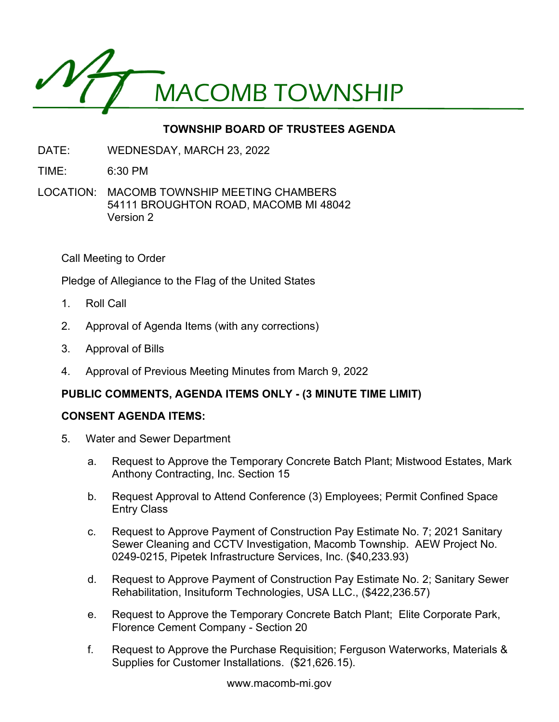

# **TOWNSHIP BOARD OF TRUSTEES AGENDA**

- DATE: WEDNESDAY, MARCH 23, 2022
- TIME: 6:30 PM
- LOCATION: MACOMB TOWNSHIP MEETING CHAMBERS 54111 BROUGHTON ROAD, MACOMB MI 48042 Version 2

Call Meeting to Order

Pledge of Allegiance to the Flag of the United States

- 1. Roll Call
- 2. Approval of Agenda Items (with any corrections)
- 3. Approval of Bills
- 4. Approval of Previous Meeting Minutes from March 9, 2022

# **PUBLIC COMMENTS, AGENDA ITEMS ONLY - (3 MINUTE TIME LIMIT)**

#### **CONSENT AGENDA ITEMS:**

- 5. Water and Sewer Department
	- a. Request to Approve the Temporary Concrete Batch Plant; Mistwood Estates, Mark Anthony Contracting, Inc. Section 15
	- b. Request Approval to Attend Conference (3) Employees; Permit Confined Space Entry Class
	- c. Request to Approve Payment of Construction Pay Estimate No. 7; 2021 Sanitary Sewer Cleaning and CCTV Investigation, Macomb Township. AEW Project No. 0249-0215, Pipetek Infrastructure Services, Inc. (\$40,233.93)
	- d. Request to Approve Payment of Construction Pay Estimate No. 2; Sanitary Sewer Rehabilitation, Insituform Technologies, USA LLC., (\$422,236.57)
	- e. Request to Approve the Temporary Concrete Batch Plant; Elite Corporate Park, Florence Cement Company - Section 20
	- f. Request to Approve the Purchase Requisition; Ferguson Waterworks, Materials & Supplies for Customer Installations. (\$21,626.15).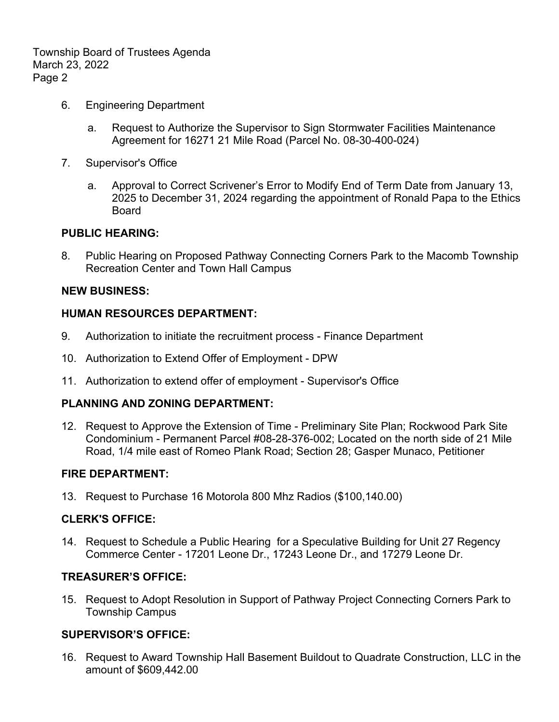Township Board of Trustees Agenda March 23, 2022 Page 2

- 6. Engineering Department
	- a. Request to Authorize the Supervisor to Sign Stormwater Facilities Maintenance Agreement for 16271 21 Mile Road (Parcel No. 08-30-400-024)
- 7. Supervisor's Office
	- a. Approval to Correct Scrivener's Error to Modify End of Term Date from January 13, 2025 to December 31, 2024 regarding the appointment of Ronald Papa to the Ethics Board

## **PUBLIC HEARING:**

8. Public Hearing on Proposed Pathway Connecting Corners Park to the Macomb Township Recreation Center and Town Hall Campus

## **NEW BUSINESS:**

## **HUMAN RESOURCES DEPARTMENT:**

- 9. Authorization to initiate the recruitment process Finance Department
- 10. Authorization to Extend Offer of Employment DPW
- 11. Authorization to extend offer of employment Supervisor's Office

#### **PLANNING AND ZONING DEPARTMENT:**

12. Request to Approve the Extension of Time - Preliminary Site Plan; Rockwood Park Site Condominium - Permanent Parcel #08-28-376-002; Located on the north side of 21 Mile Road, 1/4 mile east of Romeo Plank Road; Section 28; Gasper Munaco, Petitioner

#### **FIRE DEPARTMENT:**

13. Request to Purchase 16 Motorola 800 Mhz Radios (\$100,140.00)

#### **CLERK'S OFFICE:**

14. Request to Schedule a Public Hearing for a Speculative Building for Unit 27 Regency Commerce Center - 17201 Leone Dr., 17243 Leone Dr., and 17279 Leone Dr.

#### **TREASURER'S OFFICE:**

15. Request to Adopt Resolution in Support of Pathway Project Connecting Corners Park to Township Campus

# **SUPERVISOR'S OFFICE:**

16. Request to Award Township Hall Basement Buildout to Quadrate Construction, LLC in the amount of \$609,442.00